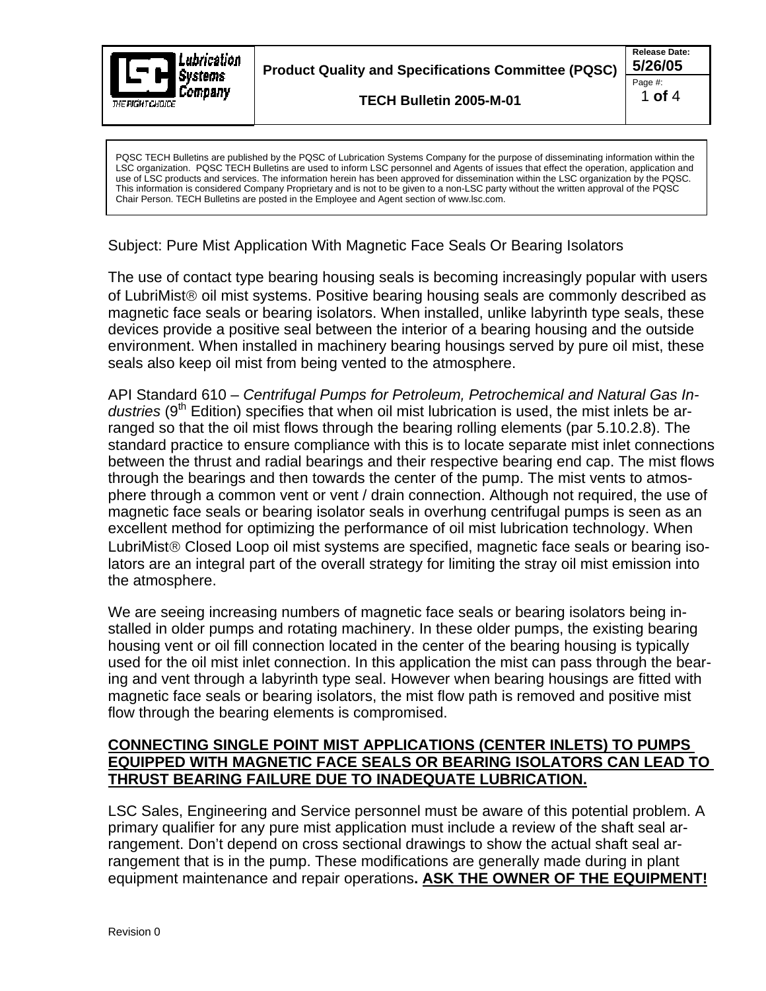

**Product Quality and Specifications Committee (PQSC) 5/26/05** 

**TECH Bulletin 2005-M-01** 

PQSC TECH Bulletins are published by the PQSC of Lubrication Systems Company for the purpose of disseminating information within the LSC organization. PQSC TECH Bulletins are used to inform LSC personnel and Agents of issues that effect the operation, application and use of LSC products and services. The information herein has been approved for dissemination within the LSC organization by the PQSC. This information is considered Company Proprietary and is not to be given to a non-LSC party without the written approval of the PQSC Chair Person. TECH Bulletins are posted in the Employee and Agent section of www.lsc.com.

Subject: Pure Mist Application With Magnetic Face Seals Or Bearing Isolators

The use of contact type bearing housing seals is becoming increasingly popular with users of LubriMist® oil mist systems. Positive bearing housing seals are commonly described as magnetic face seals or bearing isolators. When installed, unlike labyrinth type seals, these devices provide a positive seal between the interior of a bearing housing and the outside environment. When installed in machinery bearing housings served by pure oil mist, these seals also keep oil mist from being vented to the atmosphere.

API Standard 610 – *Centrifugal Pumps for Petroleum, Petrochemical and Natural Gas In*dustries (9<sup>th</sup> Edition) specifies that when oil mist lubrication is used, the mist inlets be arranged so that the oil mist flows through the bearing rolling elements (par 5.10.2.8). The standard practice to ensure compliance with this is to locate separate mist inlet connections between the thrust and radial bearings and their respective bearing end cap. The mist flows through the bearings and then towards the center of the pump. The mist vents to atmosphere through a common vent or vent / drain connection. Although not required, the use of magnetic face seals or bearing isolator seals in overhung centrifugal pumps is seen as an excellent method for optimizing the performance of oil mist lubrication technology. When LubriMist® Closed Loop oil mist systems are specified, magnetic face seals or bearing isolators are an integral part of the overall strategy for limiting the stray oil mist emission into the atmosphere.

We are seeing increasing numbers of magnetic face seals or bearing isolators being installed in older pumps and rotating machinery. In these older pumps, the existing bearing housing vent or oil fill connection located in the center of the bearing housing is typically used for the oil mist inlet connection. In this application the mist can pass through the bearing and vent through a labyrinth type seal. However when bearing housings are fitted with magnetic face seals or bearing isolators, the mist flow path is removed and positive mist flow through the bearing elements is compromised.

## **CONNECTING SINGLE POINT MIST APPLICATIONS (CENTER INLETS) TO PUMPS EQUIPPED WITH MAGNETIC FACE SEALS OR BEARING ISOLATORS CAN LEAD TO THRUST BEARING FAILURE DUE TO INADEQUATE LUBRICATION.**

LSC Sales, Engineering and Service personnel must be aware of this potential problem. A primary qualifier for any pure mist application must include a review of the shaft seal arrangement. Don't depend on cross sectional drawings to show the actual shaft seal arrangement that is in the pump. These modifications are generally made during in plant equipment maintenance and repair operations**. ASK THE OWNER OF THE EQUIPMENT!**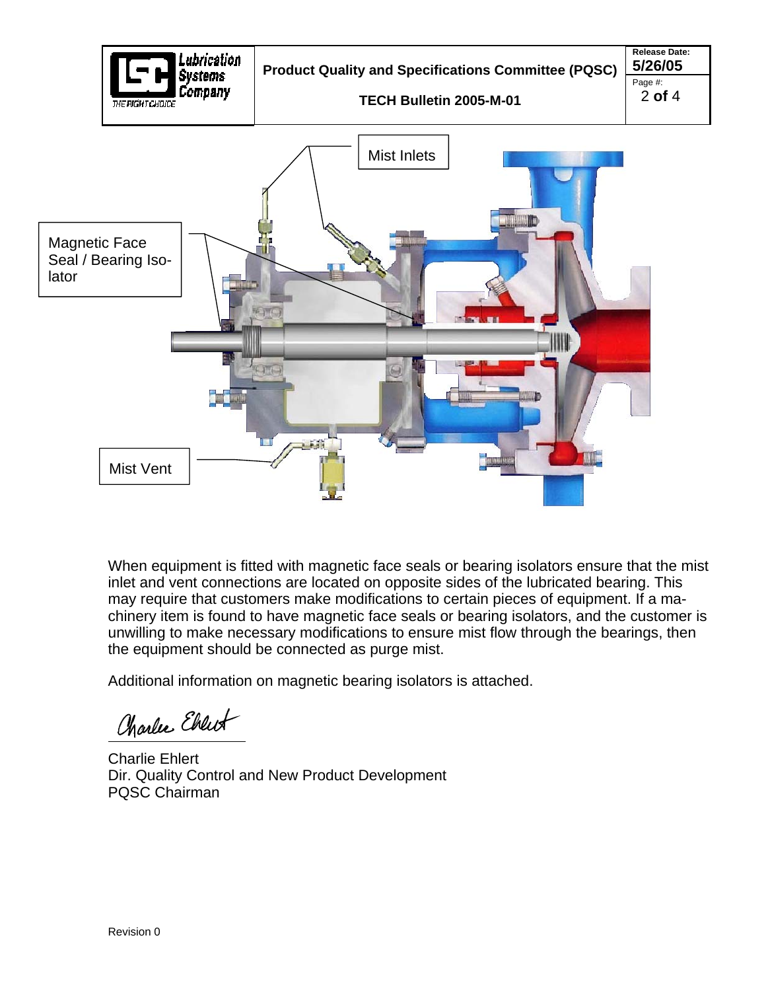

When equipment is fitted with magnetic face seals or bearing isolators ensure that the mist inlet and vent connections are located on opposite sides of the lubricated bearing. This may require that customers make modifications to certain pieces of equipment. If a machinery item is found to have magnetic face seals or bearing isolators, and the customer is unwilling to make necessary modifications to ensure mist flow through the bearings, then the equipment should be connected as purge mist.

Additional information on magnetic bearing isolators is attached.

Charles Ebrewt

Charlie Ehlert Dir. Quality Control and New Product Development PQSC Chairman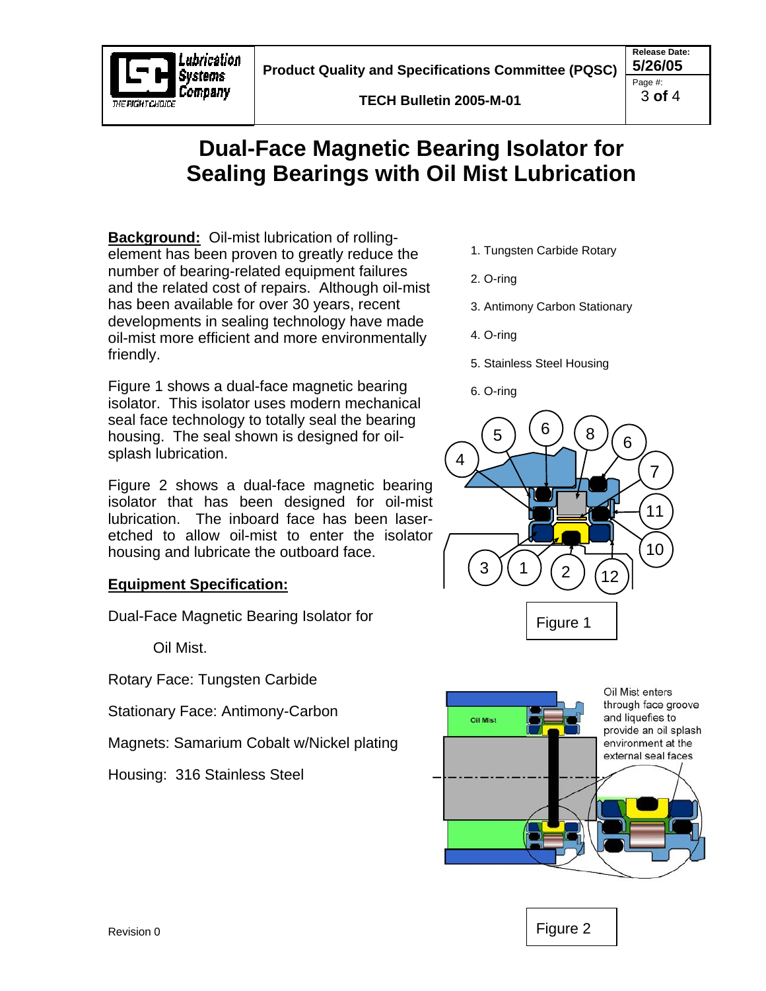**Product Quality and Specifications Committee (PQSC)** 5/26/05



## **Dual-Face Magnetic Bearing Isolator for Sealing Bearings with Oil Mist Lubrication**

**Background:** Oil-mist lubrication of rollingelement has been proven to greatly reduce the number of bearing-related equipment failures and the related cost of repairs. Although oil-mist has been available for over 30 years, recent developments in sealing technology have made oil-mist more efficient and more environmentally friendly.

ubrication Svstems Company

VE AMIKTAKOME

Figure 1 shows a dual-face magnetic bearing isolator. This isolator uses modern mechanical seal face technology to totally seal the bearing housing. The seal shown is designed for oilsplash lubrication.

Figure 2 shows a dual-face magnetic bearing isolator that has been designed for oil-mist lubrication. The inboard face has been laseretched to allow oil-mist to enter the isolator housing and lubricate the outboard face.

## **Equipment Specification:**

Dual-Face Magnetic Bearing Isolator for

Oil Mist.

Rotary Face: Tungsten Carbide

Stationary Face: Antimony-Carbon

Magnets: Samarium Cobalt w/Nickel plating

Housing: 316 Stainless Steel

- 1. Tungsten Carbide Rotary
- 2. O-ring
- 3. Antimony Carbon Stationary
- 4. O-ring
- 5. Stainless Steel Housing
- 6. O-ring





Figure 2